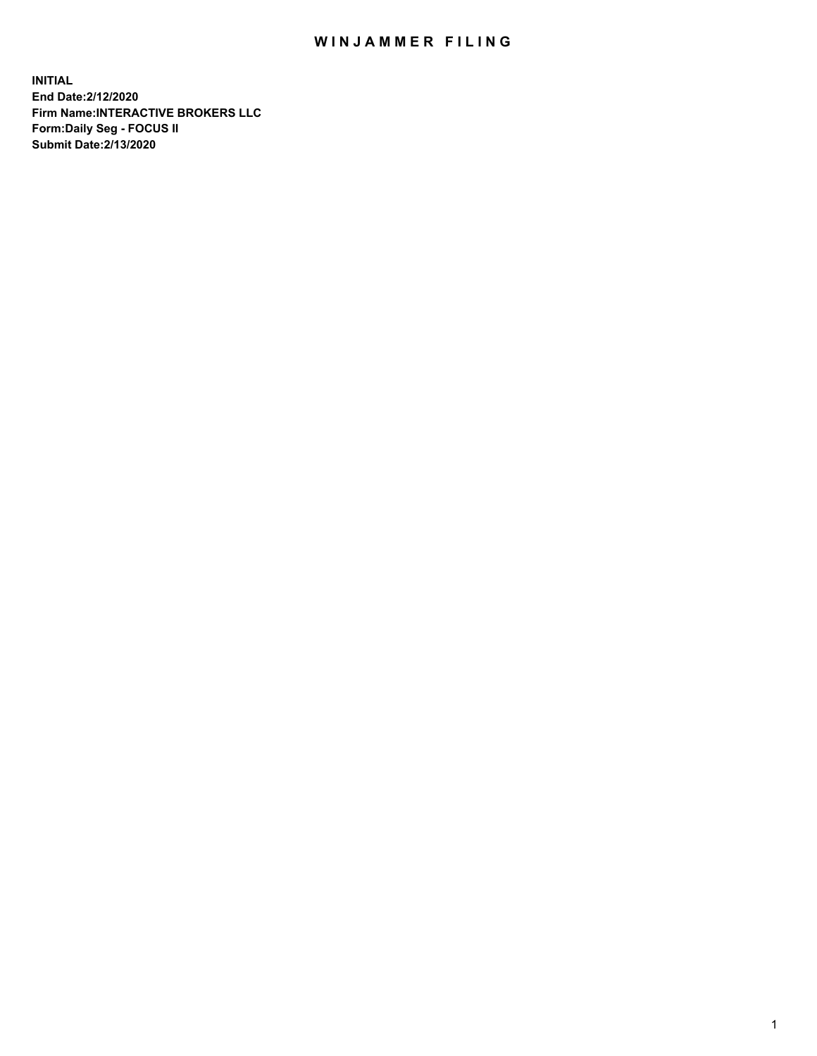## WIN JAMMER FILING

**INITIAL End Date:2/12/2020 Firm Name:INTERACTIVE BROKERS LLC Form:Daily Seg - FOCUS II Submit Date:2/13/2020**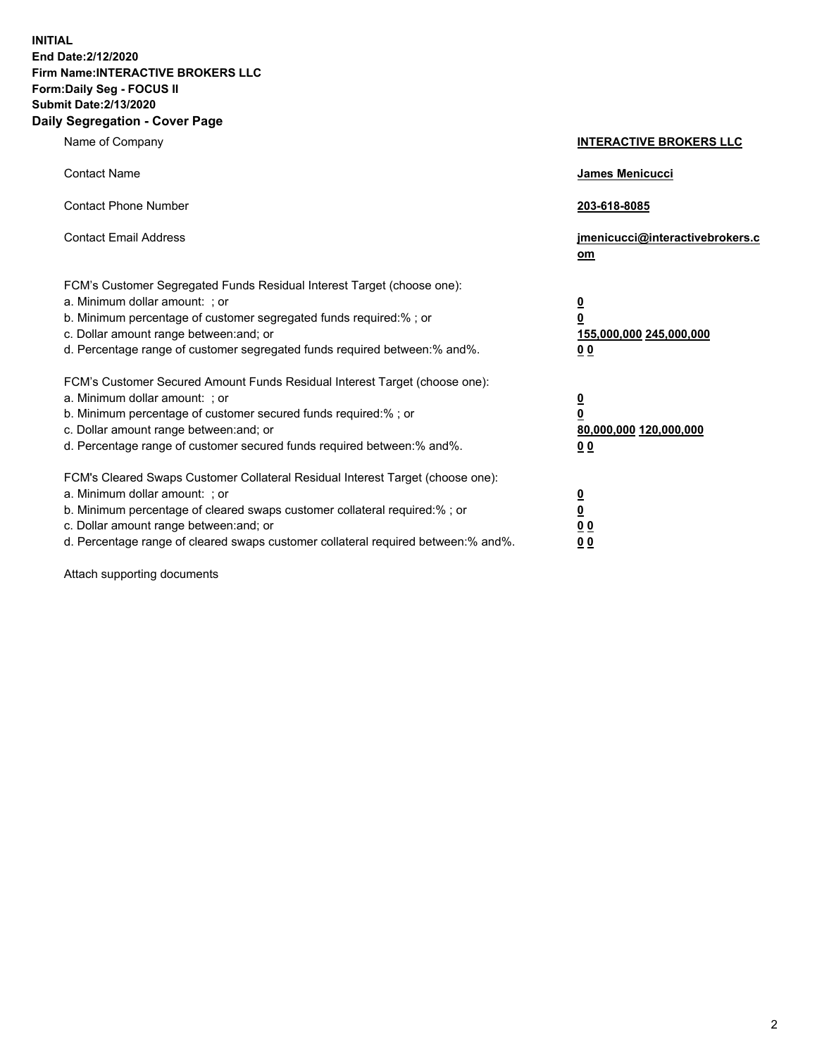**INITIAL End Date:2/12/2020 Firm Name:INTERACTIVE BROKERS LLC Form:Daily Seg - FOCUS II Submit Date:2/13/2020 Daily Segregation - Cover Page**

| Name of Company                                                                                                                                                                                                                                                                                                                | <b>INTERACTIVE BROKERS LLC</b>                                                                  |
|--------------------------------------------------------------------------------------------------------------------------------------------------------------------------------------------------------------------------------------------------------------------------------------------------------------------------------|-------------------------------------------------------------------------------------------------|
| <b>Contact Name</b>                                                                                                                                                                                                                                                                                                            | <b>James Menicucci</b>                                                                          |
| <b>Contact Phone Number</b>                                                                                                                                                                                                                                                                                                    | 203-618-8085                                                                                    |
| <b>Contact Email Address</b>                                                                                                                                                                                                                                                                                                   | jmenicucci@interactivebrokers.c<br>om                                                           |
| FCM's Customer Segregated Funds Residual Interest Target (choose one):<br>a. Minimum dollar amount: ; or<br>b. Minimum percentage of customer segregated funds required:% ; or<br>c. Dollar amount range between: and; or<br>d. Percentage range of customer segregated funds required between:% and%.                         | $\overline{\mathbf{0}}$<br>$\overline{\mathbf{0}}$<br>155,000,000 245,000,000<br>0 <sub>0</sub> |
| FCM's Customer Secured Amount Funds Residual Interest Target (choose one):<br>a. Minimum dollar amount: ; or<br>b. Minimum percentage of customer secured funds required:% ; or<br>c. Dollar amount range between: and; or<br>d. Percentage range of customer secured funds required between:% and%.                           | $\overline{\mathbf{0}}$<br>$\overline{\mathbf{0}}$<br>80,000,000 120,000,000<br><u>00</u>       |
| FCM's Cleared Swaps Customer Collateral Residual Interest Target (choose one):<br>a. Minimum dollar amount: ; or<br>b. Minimum percentage of cleared swaps customer collateral required:% ; or<br>c. Dollar amount range between: and; or<br>d. Percentage range of cleared swaps customer collateral required between:% and%. | <u>0</u><br>$\underline{\mathbf{0}}$<br>$\underline{0}$ $\underline{0}$<br>0 Q                  |

Attach supporting documents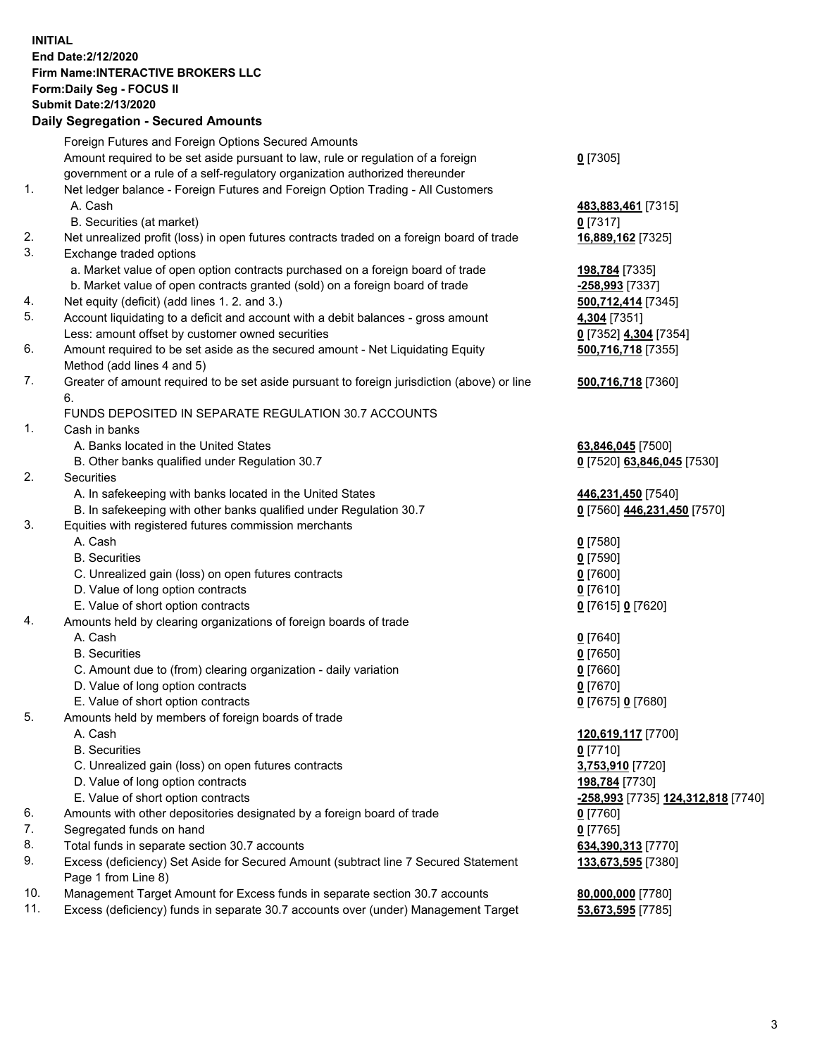**INITIAL End Date:2/12/2020 Firm Name:INTERACTIVE BROKERS LLC Form:Daily Seg - FOCUS II Submit Date:2/13/2020 Daily Segregation - Secured Amounts**

|     | Daily Ocglegation - Occaled Allioants                                                                      |                                           |
|-----|------------------------------------------------------------------------------------------------------------|-------------------------------------------|
|     | Foreign Futures and Foreign Options Secured Amounts                                                        |                                           |
|     | Amount required to be set aside pursuant to law, rule or regulation of a foreign                           | $0$ [7305]                                |
|     | government or a rule of a self-regulatory organization authorized thereunder                               |                                           |
| 1.  | Net ledger balance - Foreign Futures and Foreign Option Trading - All Customers                            |                                           |
|     | A. Cash                                                                                                    | 483,883,461 [7315]                        |
|     | B. Securities (at market)                                                                                  | $0$ [7317]                                |
| 2.  | Net unrealized profit (loss) in open futures contracts traded on a foreign board of trade                  | 16,889,162 [7325]                         |
| 3.  | Exchange traded options                                                                                    |                                           |
|     | a. Market value of open option contracts purchased on a foreign board of trade                             | 198,784 [7335]                            |
|     | b. Market value of open contracts granted (sold) on a foreign board of trade                               | -258,993 [7337]                           |
| 4.  | Net equity (deficit) (add lines 1. 2. and 3.)                                                              | 500,712,414 [7345]                        |
| 5.  | Account liquidating to a deficit and account with a debit balances - gross amount                          | 4,304 [7351]                              |
|     | Less: amount offset by customer owned securities                                                           | 0 [7352] 4,304 [7354]                     |
| 6.  | Amount required to be set aside as the secured amount - Net Liquidating Equity                             | 500,716,718 [7355]                        |
|     | Method (add lines 4 and 5)                                                                                 |                                           |
| 7.  | Greater of amount required to be set aside pursuant to foreign jurisdiction (above) or line                | 500,716,718 [7360]                        |
|     | 6.                                                                                                         |                                           |
|     | FUNDS DEPOSITED IN SEPARATE REGULATION 30.7 ACCOUNTS                                                       |                                           |
| 1.  | Cash in banks                                                                                              |                                           |
|     | A. Banks located in the United States                                                                      | 63,846,045 [7500]                         |
|     | B. Other banks qualified under Regulation 30.7                                                             | 0 [7520] 63,846,045 [7530]                |
| 2.  | Securities                                                                                                 |                                           |
|     | A. In safekeeping with banks located in the United States                                                  | 446,231,450 [7540]                        |
|     | B. In safekeeping with other banks qualified under Regulation 30.7                                         | 0 [7560] 446,231,450 [7570]               |
| 3.  | Equities with registered futures commission merchants                                                      |                                           |
|     | A. Cash                                                                                                    | $0$ [7580]                                |
|     | <b>B.</b> Securities                                                                                       | $0$ [7590]                                |
|     | C. Unrealized gain (loss) on open futures contracts                                                        | $0$ [7600]                                |
|     | D. Value of long option contracts                                                                          | $0$ [7610]                                |
|     | E. Value of short option contracts                                                                         | 0 [7615] 0 [7620]                         |
| 4.  | Amounts held by clearing organizations of foreign boards of trade                                          |                                           |
|     | A. Cash                                                                                                    | $0$ [7640]                                |
|     | <b>B.</b> Securities                                                                                       | $0$ [7650]                                |
|     | C. Amount due to (from) clearing organization - daily variation                                            | $0$ [7660]                                |
|     | D. Value of long option contracts                                                                          | $0$ [7670]                                |
|     | E. Value of short option contracts                                                                         | 0 [7675] 0 [7680]                         |
| 5.  | Amounts held by members of foreign boards of trade                                                         |                                           |
|     | A. Cash                                                                                                    | 120,619,117 [7700]                        |
|     | <b>B.</b> Securities                                                                                       | $0$ [7710]                                |
|     | C. Unrealized gain (loss) on open futures contracts                                                        | 3,753,910 [7720]                          |
|     | D. Value of long option contracts                                                                          | 198,784 [7730]                            |
|     | E. Value of short option contracts                                                                         | <u>-258,993</u> [7735] 124,312,818 [7740] |
| 6.  | Amounts with other depositories designated by a foreign board of trade                                     | $0$ [7760]                                |
| 7.  | Segregated funds on hand                                                                                   | $0$ [7765]                                |
| 8.  | Total funds in separate section 30.7 accounts                                                              | 634,390,313 [7770]                        |
| 9.  | Excess (deficiency) Set Aside for Secured Amount (subtract line 7 Secured Statement<br>Page 1 from Line 8) | 133,673,595 [7380]                        |
| 10. | Management Target Amount for Excess funds in separate section 30.7 accounts                                | 80,000,000 [7780]                         |
| 11. | Excess (deficiency) funds in separate 30.7 accounts over (under) Management Target                         | 53,673,595 [7785]                         |
|     |                                                                                                            |                                           |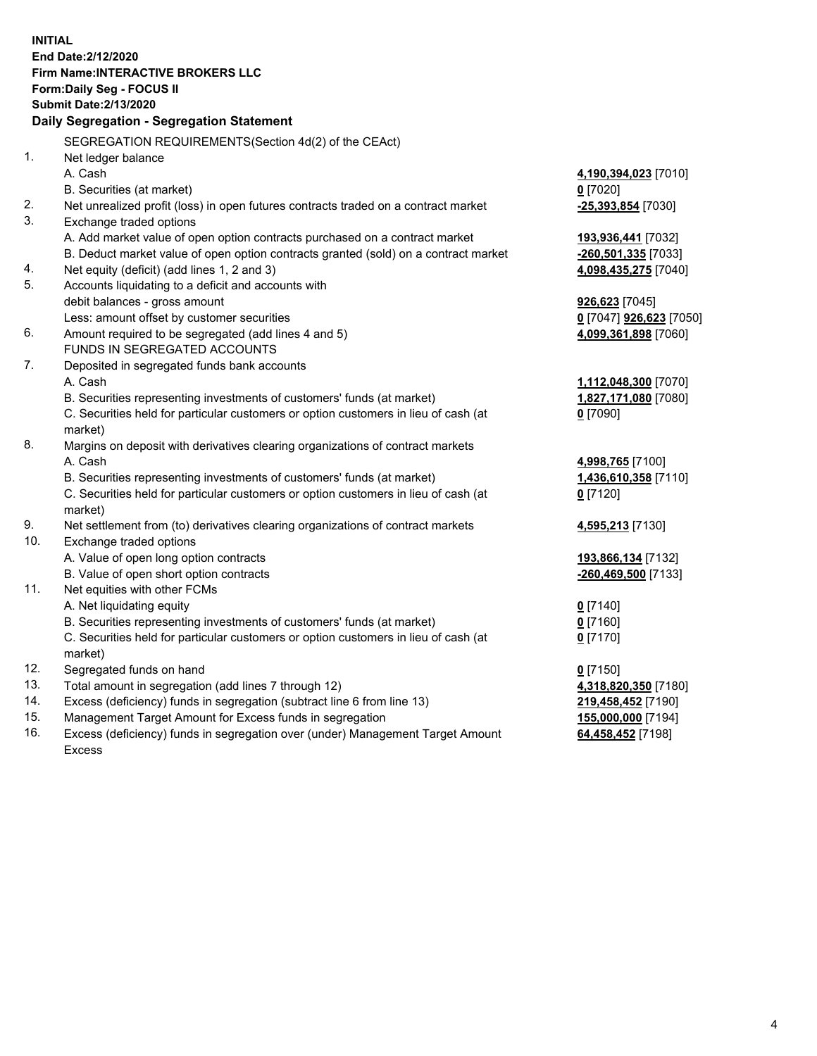**INITIAL End Date:2/12/2020 Firm Name:INTERACTIVE BROKERS LLC Form:Daily Seg - FOCUS II Submit Date:2/13/2020 Daily Segregation - Segregation Statement** SEGREGATION REQUIREMENTS(Section 4d(2) of the CEAct) 1. Net ledger balance A. Cash **4,190,394,023** [7010] B. Securities (at market) **0** [7020] 2. Net unrealized profit (loss) in open futures contracts traded on a contract market **-25,393,854** [7030] 3. Exchange traded options A. Add market value of open option contracts purchased on a contract market **193,936,441** [7032] B. Deduct market value of open option contracts granted (sold) on a contract market **-260,501,335** [7033] 4. Net equity (deficit) (add lines 1, 2 and 3) **4,098,435,275** [7040] 5. Accounts liquidating to a deficit and accounts with debit balances - gross amount **926,623** [7045] Less: amount offset by customer securities **0** [7047] **926,623** [7050] 6. Amount required to be segregated (add lines 4 and 5) **4,099,361,898** [7060] FUNDS IN SEGREGATED ACCOUNTS 7. Deposited in segregated funds bank accounts A. Cash **1,112,048,300** [7070] B. Securities representing investments of customers' funds (at market) **1,827,171,080** [7080] C. Securities held for particular customers or option customers in lieu of cash (at market) **0** [7090] 8. Margins on deposit with derivatives clearing organizations of contract markets A. Cash **4,998,765** [7100] B. Securities representing investments of customers' funds (at market) **1,436,610,358** [7110] C. Securities held for particular customers or option customers in lieu of cash (at market) **0** [7120] 9. Net settlement from (to) derivatives clearing organizations of contract markets **4,595,213** [7130] 10. Exchange traded options A. Value of open long option contracts **193,866,134** [7132] B. Value of open short option contracts **-260,469,500** [7133] 11. Net equities with other FCMs A. Net liquidating equity **0** [7140] B. Securities representing investments of customers' funds (at market) **0** [7160] C. Securities held for particular customers or option customers in lieu of cash (at market) **0** [7170] 12. Segregated funds on hand **0** [7150] 13. Total amount in segregation (add lines 7 through 12) **4,318,820,350** [7180] 14. Excess (deficiency) funds in segregation (subtract line 6 from line 13) **219,458,452** [7190] 15. Management Target Amount for Excess funds in segregation **155,000,000** [7194] **64,458,452** [7198]

16. Excess (deficiency) funds in segregation over (under) Management Target Amount Excess